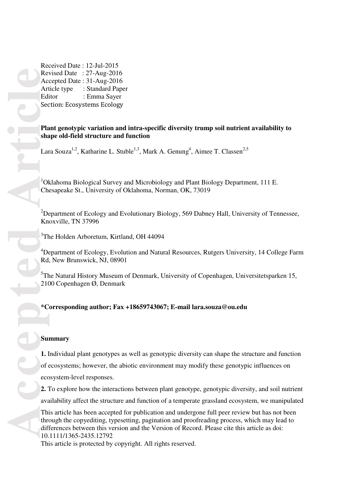Received Date : 12-Jul-2015 Revised Date : 27-Aug-2016 Accepted Date : 31-Aug-2016 Article type : Standard Paper Editor : Emma Sayer Section: Ecosystems Ecology

# **Plant genotypic variation and intra-specific diversity trump soil nutrient availability to shape old-field structure and function**

Lara Souza<sup>1,2</sup>, Katharine L. Stuble<sup>1,3</sup>, Mark A. Genung<sup>4</sup>, Aimee T. Classen<sup>2,5</sup>

<sup>1</sup>Oklahoma Biological Survey and Microbiology and Plant Biology Department, 111 E. Chesapeake St., University of Oklahoma, Norman, OK, 73019

<sup>2</sup>Department of Ecology and Evolutionary Biology, 569 Dabney Hall, University of Tennessee, Knoxville, TN 37996

3 The Holden Arboretum, Kirtland, OH 44094

<sup>4</sup>Department of Ecology, Evolution and Natural Resources, Rutgers University, 14 College Farm Rd, New Brunswick, NJ, 08901

<sup>5</sup>The Natural History Museum of Denmark, University of Copenhagen, Universitetsparken 15, 2100 Copenhagen Ø, Denmark

# **\*Corresponding author; Fax +18659743067; E-mail lara.souza@ou.edu**

# **Summary**

**1.** Individual plant genotypes as well as genotypic diversity can shape the structure and function of ecosystems; however, the abiotic environment may modify these genotypic influences on ecosystem-level responses.

**2.** To explore how the interactions between plant genotype, genotypic diversity, and soil nutrient availability affect the structure and function of a temperate grassland ecosystem, we manipulated

This article has been accepted for publication and undergone full peer review but has not been through the copyediting, typesetting, pagination and proofreading process, which may lead to differences between this version and the Version of Record. Please cite this article as doi: 10.1111/1365-2435.12792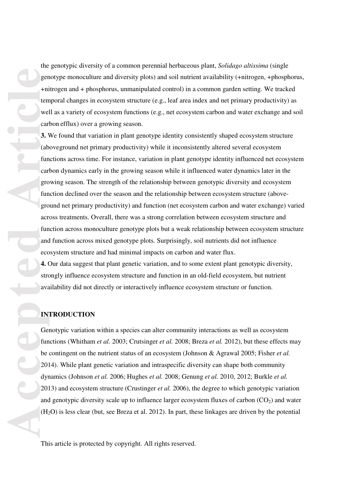**Accession** the set of the set of the set of the set of the set of the set of the set of the set of the set of the set of the set of the set of the set of the set of the set of the set of the set of the set of the set of t temporal changes in ecosystem structure (e.g., leaf area index and net primary productivity) as well as a variety of ecosystem functions (e.g., net ecosystem carbon and water exchange and soil carbon efflux) over a growing season. **3.** We found that variation in plant genotype identity consistently shaped ecosystem structure (aboveground net primary productivity) while it inconsistently altered several ecosystem functions across time. For instance, variation in plant genotype identity influenced net ecosystem carbon dynamics early in the growing season while it influenced water dynamics later in the growing season. The strength of the relationship between genotypic diversity and ecosystem function declined over the season and the relationship between ecosystem structure (aboveground net primary productivity) and function (net ecosystem carbon and water exchange) varied across treatments. Overall, there was a strong correlation between ecosystem structure and function across monoculture genotype plots but a weak relationship between ecosystem structure and function across mixed genotype plots. Surprisingly, soil nutrients did not influence ecosystem structure and had minimal impacts on carbon and water flux.

**4.** Our data suggest that plant genetic variation, and to some extent plant genotypic diversity, strongly influence ecosystem structure and function in an old-field ecosystem, but nutrient availability did not directly or interactively influence ecosystem structure or function.

the genotypic diversity of a common perennial herbaceous plant, *Solidago altissima* (single

genotype monoculture and diversity plots) and soil nutrient availability (+nitrogen, +phosphorus,

+nitrogen and + phosphorus, unmanipulated control) in a common garden setting. We tracked

# **INTRODUCTION**

Genotypic variation within a species can alter community interactions as well as ecosystem functions (Whitham *et al.* 2003; Crutsinger *et al.* 2008; Breza *et al.* 2012), but these effects may be contingent on the nutrient status of an ecosystem (Johnson & Agrawal 2005; Fisher *et al.* 2014). While plant genetic variation and intraspecific diversity can shape both community dynamics (Johnson *et al.* 2006; Hughes *et al.* 2008; Genung *et al.* 2010, 2012; Burkle *et al.* 2013) and ecosystem structure (Crustinger *et al.* 2006), the degree to which genotypic variation and genotypic diversity scale up to influence larger ecosystem fluxes of carbon  $(CO<sub>2</sub>)$  and water  $(H<sub>2</sub>O)$  is less clear (but, see Breza et al. 2012). In part, these linkages are driven by the potential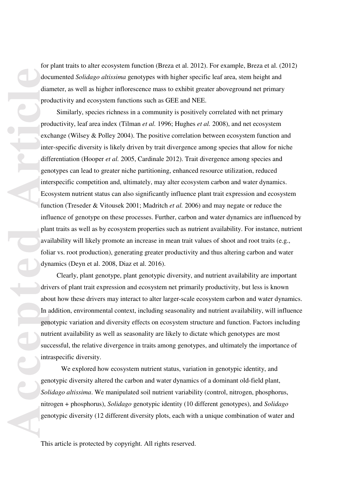for plant traits to alter ecosystem function (Breza et al. 2012). For example, Breza et al. (2012) documented *Solidago altissima* genotypes with higher specific leaf area, stem height and diameter, as well as higher inflorescence mass to exhibit greater aboveground net primary productivity and ecosystem functions such as GEE and NEE.

 Similarly, species richness in a community is positively correlated with net primary productivity, leaf area index (Tilman *et al.* 1996; Hughes *et al.* 2008), and net ecosystem exchange (Wilsey & Polley 2004). The positive correlation between ecosystem function and inter-specific diversity is likely driven by trait divergence among species that allow for niche differentiation (Hooper *et al.* 2005, Cardinale 2012). Trait divergence among species and genotypes can lead to greater niche partitioning, enhanced resource utilization, reduced interspecific competition and, ultimately, may alter ecosystem carbon and water dynamics. Ecosystem nutrient status can also significantly influence plant trait expression and ecosystem function (Treseder & Vitousek 2001; Madritch *et al.* 2006) and may negate or reduce the influence of genotype on these processes. Further, carbon and water dynamics are influenced by plant traits as well as by ecosystem properties such as nutrient availability. For instance, nutrient availability will likely promote an increase in mean trait values of shoot and root traits (e.g., foliar vs. root production), generating greater productivity and thus altering carbon and water dynamics (Deyn et al. 2008, Diaz et al. 2016).

 Clearly, plant genotype, plant genotypic diversity, and nutrient availability are important drivers of plant trait expression and ecosystem net primarily productivity, but less is known about how these drivers may interact to alter larger-scale ecosystem carbon and water dynamics. In addition, environmental context, including seasonality and nutrient availability, will influence genotypic variation and diversity effects on ecosystem structure and function. Factors including nutrient availability as well as seasonality are likely to dictate which genotypes are most successful, the relative divergence in traits among genotypes, and ultimately the importance of intraspecific diversity.

We explored how ecosystem nutrient status, variation in genotypic identity, and genotypic diversity altered the carbon and water dynamics of a dominant old-field plant, *Solidago altissima*. We manipulated soil nutrient variability (control, nitrogen, phosphorus, nitrogen + phosphorus), *Solidago* genotypic identity (10 different genotypes), and *Solidago* genotypic diversity (12 different diversity plots, each with a unique combination of water and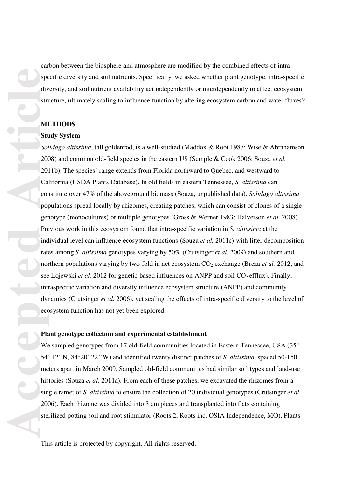carbon between the biosphere and atmosphere are modified by the combined effects of intraspecific diversity and soil nutrients. Specifically, we asked whether plant genotype, intra-specific diversity, and soil nutrient availability act independently or interdependently to affect ecosystem structure, ultimately scaling to influence function by altering ecosystem carbon and water fluxes?

## **METHODS**

#### **Study System**

*Solidago altissima*, tall goldenrod, is a well-studied (Maddox & Root 1987; Wise & Abrahamson 2008) and common old-field species in the eastern US (Semple & Cook 2006; Souza *et al.*  2011b). The species' range extends from Florida northward to Quebec, and westward to California (USDA Plants Database). In old fields in eastern Tennessee, *S. altissima* can constitute over 47% of the aboveground biomass (Souza, unpublished data). *Solidago altissima* populations spread locally by rhizomes, creating patches, which can consist of clones of a single genotype (monocultures) or multiple genotypes (Gross & Werner 1983; Halverson *et al.* 2008). Previous work in this ecosystem found that intra-specific variation in *S. altissima* at the individual level can influence ecosystem functions (Souza *et al.* 2011c) with litter decomposition rates among *S. altissima* genotypes varying by 50% (Crutsinger *et al.* 2009) and southern and northern populations varying by two-fold in net ecosystem  $CO<sub>2</sub>$  exchange (Breza *et al.* 2012, and see Lojewski *et al.* 2012 for genetic based influences on ANPP and soil CO<sub>2</sub> efflux). Finally, intraspecific variation and diversity influence ecosystem structure (ANPP) and community dynamics (Crutsinger *et al.* 2006), yet scaling the effects of intra-specific diversity to the level of ecosystem function has not yet been explored.

## **Plant genotype collection and experimental establishment**

We sampled genotypes from 17 old-field communities located in Eastern Tennessee, USA (35° 54' 12''N, 84°20' 22''W) and identified twenty distinct patches of *S. altissima*, spaced 50-150 meters apart in March 2009. Sampled old-field communities had similar soil types and land-use histories (Souza *et al.* 2011a). From each of these patches, we excavated the rhizomes from a single ramet of *S. altissima* to ensure the collection of 20 individual genotypes (Crutsinger *et al.*  2006). Each rhizome was divided into 3 cm pieces and transplanted into flats containing sterilized potting soil and root stimulator (Roots 2, Roots inc. OSIA Independence, MO). Plants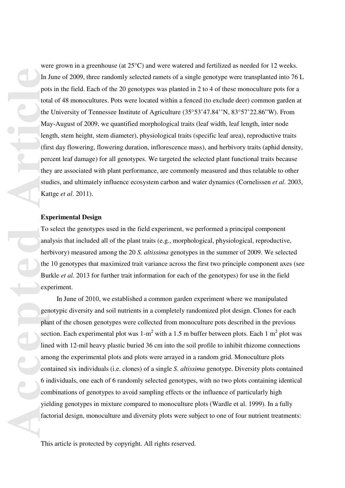were grown in a greenhouse (at 25°C) and were watered and fertilized as needed for 12 weeks. In June of 2009, three randomly selected ramets of a single genotype were transplanted into 76 L pots in the field. Each of the 20 genotypes was planted in 2 to 4 of these monoculture pots for a total of 48 monocultures. Pots were located within a fenced (to exclude deer) common garden at the University of Tennessee Institute of Agriculture (35°53'47.84''N, 83°57'22.86"W). From May-August of 2009, we quantified morphological traits (leaf width, leaf length, inter node length, stem height, stem diameter), physiological traits (specific leaf area), reproductive traits (first day flowering, flowering duration, inflorescence mass), and herbivory traits (aphid density, percent leaf damage) for all genotypes. We targeted the selected plant functional traits because they are associated with plant performance, are commonly measured and thus relatable to other studies, and ultimately influence ecosystem carbon and water dynamics (Cornelissen *et al.* 2003, Kattge *et al*. 2011).

#### **Experimental Design**

To select the genotypes used in the field experiment, we performed a principal component analysis that included all of the plant traits (e.g., morphological, physiological, reproductive, herbivory) measured among the 20 *S. altissima* genotypes in the summer of 2009. We selected the 10 genotypes that maximized trait variance across the first two principle component axes (see Burkle *et al.* 2013 for further trait information for each of the genotypes) for use in the field experiment.

 In June of 2010, we established a common garden experiment where we manipulated genotypic diversity and soil nutrients in a completely randomized plot design. Clones for each plant of the chosen genotypes were collected from monoculture pots described in the previous section. Each experimental plot was  $1-m^2$  with a 1.5 m buffer between plots. Each 1 m<sup>2</sup> plot was lined with 12-mil heavy plastic buried 36 cm into the soil profile to inhibit rhizome connections among the experimental plots and plots were arrayed in a random grid. Monoculture plots contained six individuals (i.e. clones) of a single *S. altissima* genotype. Diversity plots contained 6 individuals, one each of 6 randomly selected genotypes, with no two plots containing identical combinations of genotypes to avoid sampling effects or the influence of particularly high yielding genotypes in mixture compared to monoculture plots (Wardle et al. 1999). In a fully factorial design, monoculture and diversity plots were subject to one of four nutrient treatments: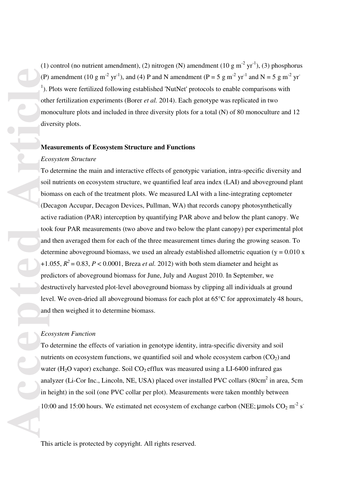(1) control (no nutrient amendment), (2) nitrogen (N) amendment (10 g m<sup>-2</sup> yr<sup>-1</sup>), (3) phosphorus (P) amendment (10 g m<sup>-2</sup> yr<sup>-1</sup>), and (4) P and N amendment (P = 5 g m<sup>-2</sup> yr<sup>-1</sup> and N = 5 g m<sup>-2</sup> yr<sup>-1</sup> <sup>1</sup>). Plots were fertilized following established 'NutNet' protocols to enable comparisons with other fertilization experiments (Borer *et al.* 2014). Each genotype was replicated in two monoculture plots and included in three diversity plots for a total (N) of 80 monoculture and 12 diversity plots.

## **Measurements of Ecosystem Structure and Functions**

## *Ecosystem Structure*

To determine the main and interactive effects of genotypic variation, intra-specific diversity and soil nutrients on ecosystem structure, we quantified leaf area index (LAI) and aboveground plant biomass on each of the treatment plots. We measured LAI with a line-integrating ceptometer (Decagon Accupar, Decagon Devices, Pullman, WA) that records canopy photosynthetically active radiation (PAR) interception by quantifying PAR above and below the plant canopy. We took four PAR measurements (two above and two below the plant canopy) per experimental plot and then averaged them for each of the three measurement times during the growing season. To determine aboveground biomass, we used an already established allometric equation ( $y = 0.010 \text{ x}$ ) +1.055,  $R^2$  = 0.83,  $P < 0.0001$ , Breza *et al.* 2012) with both stem diameter and height as predictors of aboveground biomass for June, July and August 2010. In September, we destructively harvested plot-level aboveground biomass by clipping all individuals at ground level. We oven-dried all aboveground biomass for each plot at 65**°**C for approximately 48 hours, and then weighed it to determine biomass.

### *Ecosystem Function*

To determine the effects of variation in genotype identity, intra-specific diversity and soil nutrients on ecosystem functions, we quantified soil and whole ecosystem carbon  $(CO_2)$  and water (H<sub>2</sub>O vapor) exchange. Soil  $CO_2$  efflux was measured using a LI-6400 infrared gas analyzer (Li-Cor Inc., Lincoln, NE, USA) placed over installed PVC collars (80cm<sup>2</sup> in area, 5cm in height) in the soil (one PVC collar per plot). Measurements were taken monthly between 10:00 and 15:00 hours. We estimated net ecosystem of exchange carbon (NEE;  $\mu$ mols CO<sub>2</sub> m<sup>-2</sup> s<sup>-</sup>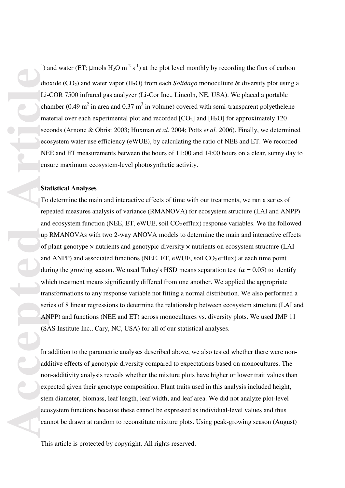<sup>1</sup>) and water (ET;  $\mu$ mols H<sub>2</sub>O m<sup>-2</sup> s<sup>-1</sup>) at the plot level monthly by recording the flux of carbon dioxide (CO2) and water vapor (H2O) from each *Solidago* monoculture & diversity plot using a Li-COR 7500 infrared gas analyzer (Li-Cor Inc., Lincoln, NE, USA). We placed a portable chamber (0.49 m<sup>2</sup> in area and 0.37 m<sup>3</sup> in volume) covered with semi-transparent polyethelene material over each experimental plot and recorded  $[CO<sub>2</sub>]$  and  $[H<sub>2</sub>O]$  for approximately 120 seconds (Arnone & Obrist 2003; Huxman *et al.* 2004; Potts *et al.* 2006). Finally, we determined ecosystem water use efficiency (eWUE), by calculating the ratio of NEE and ET. We recorded NEE and ET measurements between the hours of 11:00 and 14:00 hours on a clear, sunny day to ensure maximum ecosystem-level photosynthetic activity.

#### **Statistical Analyses**

To determine the main and interactive effects of time with our treatments, we ran a series of repeated measures analysis of variance (RMANOVA) for ecosystem structure (LAI and ANPP) and ecosystem function (NEE, ET, eWUE, soil  $CO<sub>2</sub>$  efflux) response variables. We the followed up RMANOVAs with two 2-way ANOVA models to determine the main and interactive effects of plant genotype × nutrients and genotypic diversity × nutrients on ecosystem structure (LAI and ANPP) and associated functions (NEE, ET, eWUE, soil  $CO<sub>2</sub>$  efflux) at each time point during the growing season. We used Tukey's HSD means separation test ( $\alpha = 0.05$ ) to identify which treatment means significantly differed from one another. We applied the appropriate transformations to any response variable not fitting a normal distribution. We also performed a series of 8 linear regressions to determine the relationship between ecosystem structure (LAI and ANPP) and functions (NEE and ET) across monocultures vs. diversity plots. We used JMP 11 (SAS Institute Inc., Cary, NC, USA) for all of our statistical analyses.

In addition to the parametric analyses described above, we also tested whether there were nonadditive effects of genotypic diversity compared to expectations based on monocultures. The non-additivity analysis reveals whether the mixture plots have higher or lower trait values than expected given their genotype composition. Plant traits used in this analysis included height, stem diameter, biomass, leaf length, leaf width, and leaf area. We did not analyze plot-level ecosystem functions because these cannot be expressed as individual-level values and thus cannot be drawn at random to reconstitute mixture plots. Using peak-growing season (August)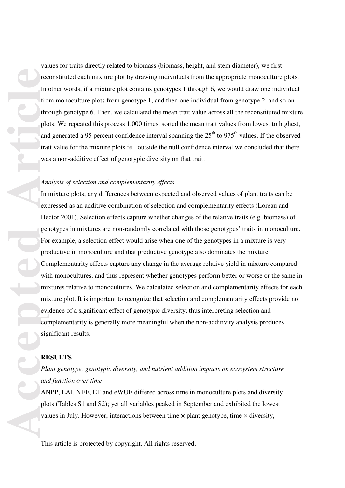values for traits directly related to biomass (biomass, height, and stem diameter), we first reconstituted each mixture plot by drawing individuals from the appropriate monoculture plots. In other words, if a mixture plot contains genotypes 1 through 6, we would draw one individual from monoculture plots from genotype 1, and then one individual from genotype 2, and so on through genotype 6. Then, we calculated the mean trait value across all the reconstituted mixture plots. We repeated this process 1,000 times, sorted the mean trait values from lowest to highest, and generated a 95 percent confidence interval spanning the  $25<sup>th</sup>$  to 975<sup>th</sup> values. If the observed trait value for the mixture plots fell outside the null confidence interval we concluded that there was a non-additive effect of genotypic diversity on that trait. *Analysis of selection and complementarity effects* 

In mixture plots, any differences between expected and observed values of plant traits can be expressed as an additive combination of selection and complementarity effects (Loreau and Hector 2001). Selection effects capture whether changes of the relative traits (e.g. biomass) of genotypes in mixtures are non-randomly correlated with those genotypes' traits in monoculture. For example, a selection effect would arise when one of the genotypes in a mixture is very productive in monoculture and that productive genotype also dominates the mixture. Complementarity effects capture any change in the average relative yield in mixture compared with monocultures, and thus represent whether genotypes perform better or worse or the same in mixtures relative to monocultures. We calculated selection and complementarity effects for each mixture plot. It is important to recognize that selection and complementarity effects provide no evidence of a significant effect of genotypic diversity; thus interpreting selection and complementarity is generally more meaningful when the non-additivity analysis produces significant results.

# **RESULTS**

*Plant genotype, genotypic diversity, and nutrient addition impacts on ecosystem structure and function over time* 

ANPP, LAI, NEE, ET and eWUE differed across time in monoculture plots and diversity plots (Tables S1 and S2); yet all variables peaked in September and exhibited the lowest values in July. However, interactions between time  $\times$  plant genotype, time  $\times$  diversity,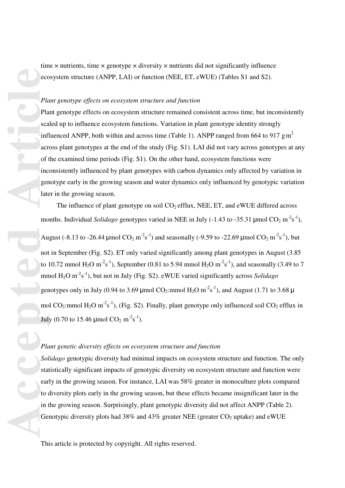time  $\times$  nutrients, time  $\times$  genotype  $\times$  diversity  $\times$  nutrients did not significantly influence ecosystem structure (ANPP, LAI) or function (NEE, ET, eWUE) (Tables S1 and S2).

## *Plant genotype effects on ecosystem structure and function*

Plant genotype effects on ecosystem structure remained consistent across time, but inconsistently scaled up to influence ecosystem functions. Variation in plant genotype identity strongly influenced ANPP, both within and across time (Table 1). ANPP ranged from 664 to 917  $\text{g m}^2$ across plant genotypes at the end of the study (Fig. S1). LAI did not vary across genotypes at any of the examined time periods (Fig. S1). On the other hand, ecosystem functions were inconsistently influenced by plant genotypes with carbon dynamics only affected by variation in genotype early in the growing season and water dynamics only influenced by genotypic variation later in the growing season.

The influence of plant genotype on soil  $CO<sub>2</sub>$  efflux, NEE, ET, and eWUE differed across months. Individual *Solidago* genotypes varied in NEE in July (-1.43 to -35.31  $\mu$ mol CO<sub>2</sub> m<sup>-2</sup>s<sup>-1</sup>), August (-8.13 to -26.44 µmol  $CO_2$  m<sup>-2</sup>s<sup>-1</sup>) and seasonally (-9.59 to -22.69 µmol  $CO_2$  m<sup>-2</sup>s<sup>-1</sup>), but not in September (Fig. S2). ET only varied significantly among plant genotypes in August (3.85 to 10.72 mmol H<sub>2</sub>O m<sup>-2</sup>s<sup>-1</sup>), September (0.81 to 5.94 mmol H<sub>2</sub>O m<sup>-2</sup>s<sup>-1</sup>), and seasonally (3.49 to 7 mmol H<sub>2</sub>O m<sup>-2</sup>s<sup>-1</sup>), but not in July (Fig. S2). eWUE varied significantly across *Solidago* genotypes only in July (0.94 to 3.69 µmol  $CO_2$ :mmol  $H_2O \text{ m}^2 \text{s}^{-1}$ ), and August (1.71 to 3.68 µ mol CO<sub>2</sub>:mmol H<sub>2</sub>O m<sup>-2</sup>s<sup>-1</sup>), (Fig. S2). Finally, plant genotype only influenced soil CO<sub>2</sub> efflux in July (0.70 to 15.46  $\mu$ mol CO<sub>2</sub> m<sup>-2</sup>s<sup>-1</sup>).

## *Plant genetic diversity effects on ecosystem structure and function*

*Solidago* genotypic diversity had minimal impacts on ecosystem structure and function. The only statistically significant impacts of genotypic diversity on ecosystem structure and function were early in the growing season. For instance, LAI was 58% greater in monoculture plots compared to diversity plots early in the growing season, but these effects became insignificant later in the in the growing season. Surprisingly, plant genotypic diversity did not affect ANPP (Table 2). Genotypic diversity plots had 38% and 43% greater NEE (greater  $CO<sub>2</sub>$  uptake) and eWUE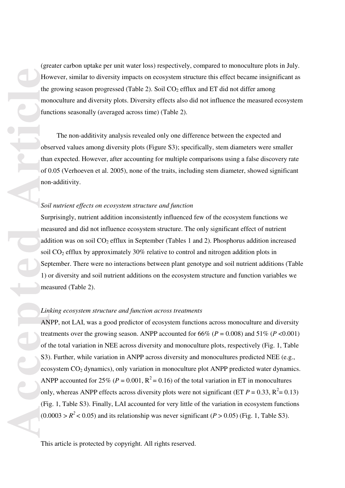(greater carbon uptake per unit water loss) respectively, compared to monoculture plots in July. However, similar to diversity impacts on ecosystem structure this effect became insignificant as the growing season progressed (Table 2). Soil  $CO<sub>2</sub>$  efflux and ET did not differ among monoculture and diversity plots. Diversity effects also did not influence the measured ecosystem functions seasonally (averaged across time) (Table 2).

 The non-additivity analysis revealed only one difference between the expected and observed values among diversity plots (Figure S3); specifically, stem diameters were smaller than expected. However, after accounting for multiple comparisons using a false discovery rate of 0.05 (Verhoeven et al. 2005), none of the traits, including stem diameter, showed significant non-additivity.

## *Soil nutrient effects on ecosystem structure and function*

Surprisingly, nutrient addition inconsistently influenced few of the ecosystem functions we measured and did not influence ecosystem structure. The only significant effect of nutrient addition was on soil  $CO<sub>2</sub>$  efflux in September (Tables 1 and 2). Phosphorus addition increased soil CO<sub>2</sub> efflux by approximately 30% relative to control and nitrogen addition plots in September. There were no interactions between plant genotype and soil nutrient additions (Table 1) or diversity and soil nutrient additions on the ecosystem structure and function variables we measured (Table 2).

## *Linking ecosystem structure and function across treatments*

ANPP, not LAI, was a good predictor of ecosystem functions across monoculture and diversity treatments over the growing season. ANPP accounted for  $66\%$  ( $P = 0.008$ ) and  $51\%$  ( $P < 0.001$ ) of the total variation in NEE across diversity and monoculture plots, respectively (Fig. 1, Table S3). Further, while variation in ANPP across diversity and monocultures predicted NEE (e.g., ecosystem  $CO<sub>2</sub>$  dynamics), only variation in monoculture plot ANPP predicted water dynamics. ANPP accounted for 25% ( $P = 0.001$ ,  $R^2 = 0.16$ ) of the total variation in ET in monocultures only, whereas ANPP effects across diversity plots were not significant (ET  $P = 0.33$ ,  $R^2 = 0.13$ ) (Fig. 1, Table S3). Finally, LAI accounted for very little of the variation in ecosystem functions  $(0.0003 > R^2 < 0.05)$  and its relationship was never significant (*P* > 0.05) (Fig. 1, Table S3).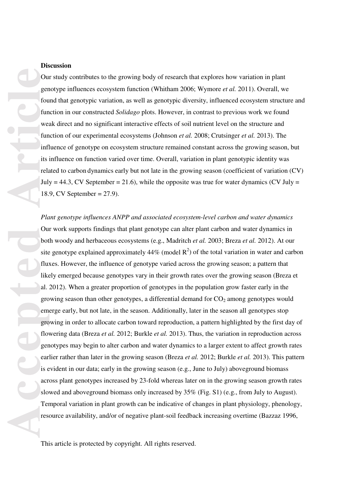## **Discussion**

Our study contributes to the growing body of research that explores how variation in plant genotype influences ecosystem function (Whitham 2006; Wymore *et al.* 2011). Overall, we found that genotypic variation, as well as genotypic diversity, influenced ecosystem structure and function in our constructed *Solidago* plots. However, in contrast to previous work we found weak direct and no significant interactive effects of soil nutrient level on the structure and function of our experimental ecosystems (Johnson *et al.* 2008; Crutsinger *et al.* 2013). The influence of genotype on ecosystem structure remained constant across the growing season, but its influence on function varied over time. Overall, variation in plant genotypic identity was related to carbon dynamics early but not late in the growing season (coefficient of variation (CV) July = 44.3, CV September = 21.6), while the opposite was true for water dynamics (CV July = 18.9, CV September = 27.9).

*Plant genotype influences ANPP and associated ecosystem-level carbon and water dynamics*  Our work supports findings that plant genotype can alter plant carbon and water dynamics in both woody and herbaceous ecosystems (e.g., Madritch *et al.* 2003; Breza *et al.* 2012). At our site genotype explained approximately  $44\%$  (model  $R^2$ ) of the total variation in water and carbon fluxes. However, the influence of genotype varied across the growing season; a pattern that likely emerged because genotypes vary in their growth rates over the growing season (Breza et al. 2012). When a greater proportion of genotypes in the population grow faster early in the growing season than other genotypes, a differential demand for  $CO<sub>2</sub>$  among genotypes would emerge early, but not late, in the season. Additionally, later in the season all genotypes stop growing in order to allocate carbon toward reproduction, a pattern highlighted by the first day of flowering data (Breza *et al.* 2012; Burkle *et al.* 2013). Thus, the variation in reproduction across genotypes may begin to alter carbon and water dynamics to a larger extent to affect growth rates earlier rather than later in the growing season (Breza *et al.* 2012; Burkle *et al.* 2013). This pattern is evident in our data; early in the growing season (e.g., June to July) aboveground biomass across plant genotypes increased by 23-fold whereas later on in the growing season growth rates slowed and aboveground biomass only increased by 35% (Fig. S1) (e.g., from July to August). Temporal variation in plant growth can be indicative of changes in plant physiology, phenology, resource availability, and/or of negative plant-soil feedback increasing overtime (Bazzaz 1996,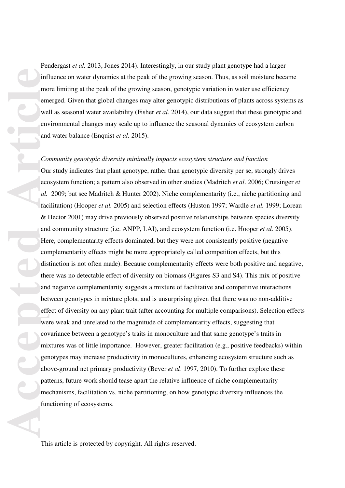Pendergast *et al.* 2013, Jones 2014). Interestingly, in our study plant genotype had a larger influence on water dynamics at the peak of the growing season. Thus, as soil moisture became more limiting at the peak of the growing season, genotypic variation in water use efficiency emerged. Given that global changes may alter genotypic distributions of plants across systems as well as seasonal water availability (Fisher *et al.* 2014), our data suggest that these genotypic and environmental changes may scale up to influence the seasonal dynamics of ecosystem carbon and water balance (Enquist *et al.* 2015).

#### *Community genotypic diversity minimally impacts ecosystem structure and function*

Our study indicates that plant genotype, rather than genotypic diversity per se, strongly drives ecosystem function; a pattern also observed in other studies (Madritch *et al*. 2006; Crutsinger *et al.* 2009; but see Madritch & Hunter 2002). Niche complementarity (i.e., niche partitioning and facilitation) (Hooper *et al.* 2005) and selection effects (Huston 1997; Wardle *et al.* 1999; Loreau & Hector 2001) may drive previously observed positive relationships between species diversity and community structure (i.e. ANPP, LAI), and ecosystem function (i.e. Hooper *et al.* 2005). Here, complementarity effects dominated, but they were not consistently positive (negative complementarity effects might be more appropriately called competition effects, but this distinction is not often made). Because complementarity effects were both positive and negative, there was no detectable effect of diversity on biomass (Figures S3 and S4). This mix of positive and negative complementarity suggests a mixture of facilitative and competitive interactions between genotypes in mixture plots, and is unsurprising given that there was no non-additive effect of diversity on any plant trait (after accounting for multiple comparisons). Selection effects were weak and unrelated to the magnitude of complementarity effects, suggesting that covariance between a genotype's traits in monoculture and that same genotype's traits in mixtures was of little importance. However, greater facilitation (e.g., positive feedbacks) within genotypes may increase productivity in monocultures, enhancing ecosystem structure such as above-ground net primary productivity (Bever *et al*. 1997, 2010). To further explore these patterns, future work should tease apart the relative influence of niche complementarity mechanisms, facilitation vs. niche partitioning, on how genotypic diversity influences the functioning of ecosystems.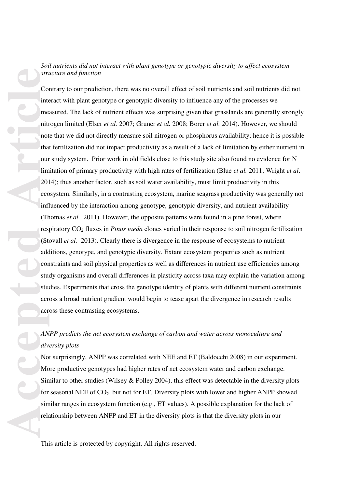# *Soil nutrients did not interact with plant genotype or genotypic diversity to affect ecosystem structure and function*

Contrary to our prediction, there was no overall effect of soil nutrients and soil nutrients did not interact with plant genotype or genotypic diversity to influence any of the processes we measured. The lack of nutrient effects was surprising given that grasslands are generally strongly nitrogen limited (Elser *et al.* 2007; Gruner *et al.* 2008; Borer *et al.* 2014). However, we should note that we did not directly measure soil nitrogen or phosphorus availability; hence it is possible that fertilization did not impact productivity as a result of a lack of limitation by either nutrient in our study system. Prior work in old fields close to this study site also found no evidence for N limitation of primary productivity with high rates of fertilization (Blue *et al.* 2011; Wright *et al*. 2014); thus another factor, such as soil water availability, must limit productivity in this ecosystem. Similarly, in a contrasting ecosystem, marine seagrass productivity was generally not influenced by the interaction among genotype, genotypic diversity, and nutrient availability (Thomas *et al.* 2011). However, the opposite patterns were found in a pine forest, where respiratory CO2 fluxes in *Pinus taeda* clones varied in their response to soil nitrogen fertilization (Stovall *et al.* 2013). Clearly there is divergence in the response of ecosystems to nutrient additions, genotype, and genotypic diversity. Extant ecosystem properties such as nutrient constraints and soil physical properties as well as differences in nutrient use efficiencies among study organisms and overall differences in plasticity across taxa may explain the variation among studies. Experiments that cross the genotype identity of plants with different nutrient constraints across a broad nutrient gradient would begin to tease apart the divergence in research results across these contrasting ecosystems.

# *ANPP predicts the net ecosystem exchange of carbon and water across monoculture and diversity plots*

Not surprisingly, ANPP was correlated with NEE and ET (Baldocchi 2008) in our experiment. More productive genotypes had higher rates of net ecosystem water and carbon exchange. Similar to other studies (Wilsey & Polley 2004), this effect was detectable in the diversity plots for seasonal NEE of  $CO<sub>2</sub>$ , but not for ET. Diversity plots with lower and higher ANPP showed similar ranges in ecosystem function (e.g., ET values). A possible explanation for the lack of relationship between ANPP and ET in the diversity plots is that the diversity plots in our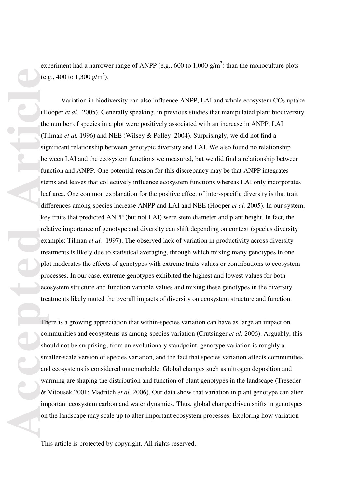experiment had a narrower range of ANPP (e.g., 600 to 1,000  $g/m<sup>2</sup>$ ) than the monoculture plots (e.g., 400 to  $1,300 \text{ g/m}^2$ ).

Variation in biodiversity can also influence ANPP, LAI and whole ecosystem  $CO<sub>2</sub>$  uptake (Hooper *et al.* 2005). Generally speaking, in previous studies that manipulated plant biodiversity the number of species in a plot were positively associated with an increase in ANPP, LAI (Tilman *et al.* 1996) and NEE (Wilsey & Polley 2004). Surprisingly, we did not find a significant relationship between genotypic diversity and LAI. We also found no relationship between LAI and the ecosystem functions we measured, but we did find a relationship between function and ANPP. One potential reason for this discrepancy may be that ANPP integrates stems and leaves that collectively influence ecosystem functions whereas LAI only incorporates leaf area. One common explanation for the positive effect of inter-specific diversity is that trait differences among species increase ANPP and LAI and NEE (Hooper *et al.* 2005). In our system, key traits that predicted ANPP (but not LAI) were stem diameter and plant height. In fact, the relative importance of genotype and diversity can shift depending on context (species diversity example: Tilman *et al.* 1997). The observed lack of variation in productivity across diversity treatments is likely due to statistical averaging, through which mixing many genotypes in one plot moderates the effects of genotypes with extreme traits values or contributions to ecosystem processes. In our case, extreme genotypes exhibited the highest and lowest values for both ecosystem structure and function variable values and mixing these genotypes in the diversity treatments likely muted the overall impacts of diversity on ecosystem structure and function.

There is a growing appreciation that within-species variation can have as large an impact on communities and ecosystems as among-species variation (Crutsinger *et al.* 2006). Arguably, this should not be surprising; from an evolutionary standpoint, genotype variation is roughly a smaller-scale version of species variation, and the fact that species variation affects communities and ecosystems is considered unremarkable. Global changes such as nitrogen deposition and warming are shaping the distribution and function of plant genotypes in the landscape (Treseder & Vitousek 2001; Madritch *et al.* 2006). Our data show that variation in plant genotype can alter important ecosystem carbon and water dynamics. Thus, global change driven shifts in genotypes on the landscape may scale up to alter important ecosystem processes. Exploring how variation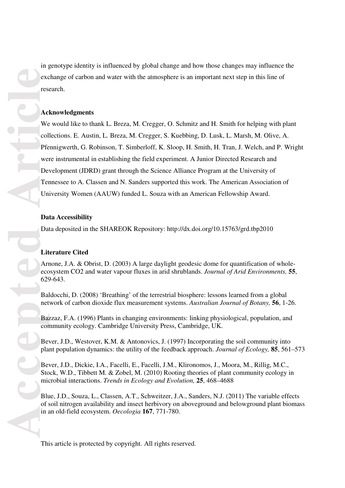in genotype identity is influenced by global change and how those changes may influence the exchange of carbon and water with the atmosphere is an important next step in this line of research.

## **Acknowledgments**

We would like to thank L. Breza, M. Cregger, O. Schmitz and H. Smith for helping with plant collections. E. Austin, L. Breza, M. Cregger, S. Kuebbing, D. Lusk, L. Marsh, M. Olive, A. Pfennigwerth, G. Robinson, T. Simberloff, K. Sloop, H. Smith, H. Tran, J. Welch, and P. Wright were instrumental in establishing the field experiment. A Junior Directed Research and Development (JDRD) grant through the Science Alliance Program at the University of Tennessee to A. Classen and N. Sanders supported this work. The American Association of University Women (AAUW) funded L. Souza with an American Fellowship Award.

### **Data Accessibility**

Data deposited in the SHAREOK Repository: http://dx.doi.org/10.15763/grd.tbp2010

## **Literature Cited**

Arnone, J.A. & Obrist, D. (2003) A large daylight geodesic dome for quantification of wholeecosystem CO2 and water vapour fluxes in arid shrublands. *Journal of Arid Environments,* **55**, 629-643.

Baldocchi, D. (2008) 'Breathing' of the terrestrial biosphere: lessons learned from a global network of carbon dioxide flux measurement systems. *Australian Journal of Botany,* **56**, 1-26.

Bazzaz, F.A. (1996) Plants in changing environments: linking physiological, population, and community ecology. Cambridge University Press, Cambridge, UK.

Bever, J.D., Westover, K.M. & Antonovics, J. (1997) Incorporating the soil community into plant population dynamics: the utility of the feedback approach. *Journal of Ecology,* **85**, 561–573

Bever, J.D., Dickie, I.A., Facelli, E., Facelli, J.M., Klironomos, J., Moora, M., Rillig, M.C., Stock, W.D., Tibbett M. & Zobel, M. (2010) Rooting theories of plant community ecology in microbial interactions. *Trends in Ecology and Evolution,* **25**, 468–4688

Blue, J.D., Souza, L., Classen, A.T., Schweitzer, J.A., Sanders, N.J. (2011) The variable effects of soil nitrogen availability and insect herbivory on aboveground and belowground plant biomass in an old-field ecosystem. *Oecologia* **167**, 771-780.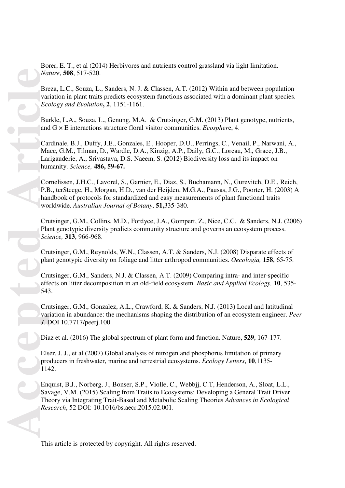Borer, E. T., et al (2014) Herbivores and nutrients control grassland via light limitation. *Nature*, **508**, 517-520.

Breza, L.C., Souza, L., Sanders, N. J. & Classen, A.T. (2012) Within and between population variation in plant traits predicts ecosystem functions associated with a dominant plant species. *Ecology and Evolution***, 2**, 1151-1161.

Burkle, L.A., Souza, L., Genung, M.A. & Crutsinger, G.M. (2013) Plant genotype, nutrients, and G × E interactions structure floral visitor communities. *Ecospher*e, 4.

Cardinale, B.J., Duffy, J.E., Gonzales, E., Hooper, D.U., Perrings, C., Venail, P., Narwani, A., Mace, G.M., Tilman, D., Wardle, D.A., Kinzig, A.P., Daily, G.C., Loreau, M., Grace, J.B., Larigauderie, A., Srivastava, D.S. Naeem, S. (2012) Biodiversity loss and its impact on humanity. *Science,* **486, 59-67.**

Cornelissen, J.H.C., Lavorel, S., Garnier, E., Diaz, S., Buchamann, N., Gurevitch, D.E., Reich, P.B., terSteege, H., Morgan, H.D., van der Heijden, M.G.A., Pausas, J.G., Poorter, H. (2003) A handbook of protocols for standardized and easy measurements of plant functional traits worldwide. *Australian Journal of Botany*, **51,**335-380.

Crutsinger, G.M., Collins, M.D., Fordyce, J.A., Gompert, Z., Nice, C.C. & Sanders, N.J. (2006) Plant genotypic diversity predicts community structure and governs an ecosystem process. *Science,* **313**, 966-968.

Crutsinger, G.M., Reynolds, W.N., Classen, A.T. & Sanders, N.J. (2008) Disparate effects of plant genotypic diversity on foliage and litter arthropod communities. *Oecologia,* **158**, 65-75.

Crutsinger, G.M., Sanders, N.J. & Classen, A.T. (2009) Comparing intra- and inter-specific effects on litter decomposition in an old-field ecosystem. *Basic and Applied Ecology,* **10**, 535- 543.

Crutsinger, G.M., Gonzalez, A.L., Crawford, K. & Sanders, N.J. (2013) Local and latitudinal variation in abundance: the mechanisms shaping the distribution of an ecosystem engineer. *Peer J*. DOI 10.7717/peerj.100

Diaz et al. (2016) The global spectrum of plant form and function. Nature, **529**, 167-177.

Elser, J. J., et al (2007) Global analysis of nitrogen and phosphorus limitation of primary producers in freshwater, marine and terrestrial ecosystems. *Ecology Letters*, **10**,1135- 1142.

Enquist, B.J., Norberg, J., Bonser, S.P., Violle, C., Webbjj, C.T, Henderson, A., Sloat, L.L., Savage, V.M. (2015) Scaling from Traits to Ecosystems: Developing a General Trait Driver Theory via Integrating Trait-Based and Metabolic Scaling Theories *Advances in Ecological Research*, 52 DOI: 10.1016/bs.aecr.2015.02.001.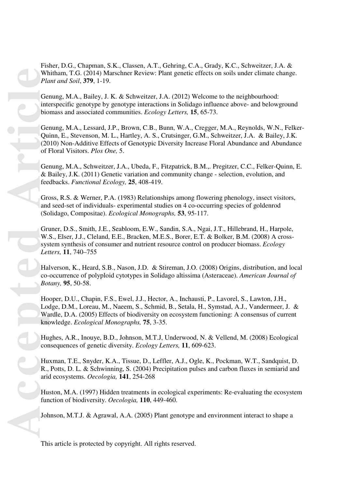Fisher, D.G., Chapman, S.K., Classen, A.T., Gehring, C.A., Grady, K.C., Schweitzer, J.A. & Whitham, T.G. (2014) Marschner Review: Plant genetic effects on soils under climate change. *Plant and Soil*, **379**, 1-19.

Genung, M.A., Bailey, J. K. & Schweitzer, J.A. (2012) Welcome to the neighbourhood: interspecific genotype by genotype interactions in Solidago influence above- and belowground biomass and associated communities. *Ecology Letters,* **15**, 65-73.

Genung, M.A., Lessard, J.P., Brown, C.B., Bunn, W.A., Cregger, M.A., Reynolds, W.N., Felker-Quinn, E., Stevenson, M. L., Hartley, A. S., Crutsinger, G.M., Schweitzer, J.A. & Bailey, J.K. (2010) Non-Additive Effects of Genotypic Diversity Increase Floral Abundance and Abundance of Floral Visitors. *Plos One,* 5.

Genung, M.A., Schweitzer, J.A., Ubeda, F., Fitzpatrick, B.M.,. Pregitzer, C.C., Felker-Quinn, E. & Bailey, J.K. (2011) Genetic variation and community change - selection, evolution, and feedbacks. *Functional Ecology,* **25**, 408-419.

Gross, R.S. & Werner, P.A. (1983) Relationships among flowering phenology, insect visitors, and seed-set of individuals- experimental studies on 4 co-occurring species of goldenrod (Solidago, Compositae). *Ecological Monographs,* **53**, 95-117.

Gruner, D.S., Smith, J.E., Seabloom, E.W., Sandin, S.A., Ngai, J.T., Hillebrand, H., Harpole, W.S., Elser, J.J., Cleland, E.E., Bracken, M.E.S., Borer, E.T. & Bolker, B.M. (2008) A crosssystem synthesis of consumer and nutrient resource control on producer biomass. *Ecology Letters,* **11**, 740–755

Halverson, K., Heard, S.B., Nason, J.D. & Stireman, J.O. (2008) Origins, distribution, and local co-occurrence of polyploid cytotypes in Solidago altissima (Asteraceae). *American Journal of Botany,* **95**, 50-58.

Hooper, D.U., Chapin, F.S., Ewel, J.J., Hector, A., Inchausti, P., Lavorel, S., Lawton, J.H., Lodge, D.M., Loreau, M., Naeem, S., Schmid, B., Setala, H., Symstad, A.J., Vandermeer, J. & Wardle, D.A. (2005) Effects of biodiversity on ecosystem functioning: A consensus of current knowledge. *Ecological Monographs,* **75**, 3-35.

Hughes, A.R., Inouye, B.D., Johnson, M.T.J, Underwood, N. & Vellend, M. (2008) Ecological consequences of genetic diversity. *Ecology Letters,* **11**, 609-623.

Huxman, T.E., Snyder, K.A., Tissue, D., Leffler, A.J., Ogle, K., Pockman, W.T., Sandquist, D. R., Potts, D. L. & Schwinning, S. (2004) Precipitation pulses and carbon fluxes in semiarid and arid ecosystems. *Oecologia,* **141**, 254-268

Huston, M.A. (1997) Hidden treatments in ecological experiments: Re-evaluating the ecosystem function of biodiversity. *Oecologia,* **110**, 449-460.

Johnson, M.T.J. & Agrawal, A.A. (2005) Plant genotype and environment interact to shape a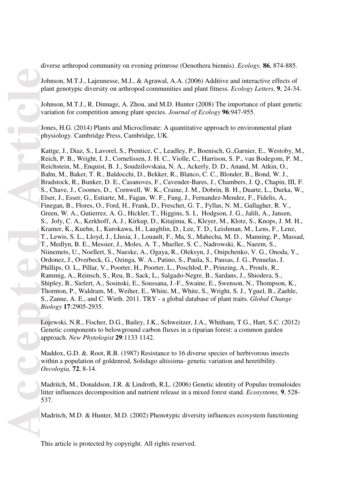diverse arthropod community on evening primrose (Oenothera biennis). *Ecology,* **86**, 874-885.

Johnson, M.T.J., Lajeunesse, M.J., & Agrawal, A.A. (2006) Additive and interactive effects of plant genotypic diversity on arthropod communities and plant fitness. *Ecology Letters,* **9**, 24-34.

Johnson, M.T.J., R. Dinnage, A. Zhou, and M.D. Hunter (2008) The importance of plant genetic variation for competition among plant species. *Journal of Ecology* **96**:947-955.

Jones, H.G. (2014) Plants and Microclimate: A quantitative approach to environmental plant physiology. Cambridge Press, Cambridge, UK.

Kattge, J., Diaz, S., Lavorel, S., Prentice, C., Leadley, P., Boenisch, G.,Garnier, E., Westoby, M., Reich, P. B., Wright, I. J., Cornelissen, J. H. C., Violle, C., Harrison, S. P., van Bodegom, P. M., Reichstein, M., Enquist, B. J., Soudzilovskaia, N. A., Ackerly, D. D., Anand, M. Atkin, O., Bahn, M., Baker, T. R., Baldocchi, D., Bekker, R., Blanco, C. C., Blonder, B., Bond, W. J., Bradstock, R., Bunker, D. E., Casanoves, F., Cavender-Bares, J., Chambers, J. Q., Chapin, III, F. S., Chave, J., Coomes, D., Cornwell, W. K., Craine, J. M., Dobrin, B. H., Duarte, L., Durka, W., Elser, J., Esser, G., Estiarte, M., Fagan, W. F., Fang, J., Fernandez-Mendez, F., Fidelis, A., Finegan, B., Flores, O., Ford, H., Frank, D., Freschet, G. T., Fyllas, N. M., Gallagher, R. V., Green, W. A., Gutierrez, A. G., Hickler, T., Higgins, S. I., Hodgson, J. G., Jalili, A., Jansen, S., Joly, C. A., Kerkhoff, A. J., Kirkup, D., Kitajima, K., Kleyer, M., Klotz, S., Knops, J. M. H., Kramer, K., Kuehn, I., Kurokawa, H., Laughlin, D., Lee, T. D., Leishman, M., Lens, F., Lenz, T., Lewis, S. L., Lloyd, J., Llusia, J., Louault, F., Ma, S., Mahecha, M. D., Manning, P., Massad, T., Medlyn, B. E., Messier, J., Moles, A. T., Mueller, S. C., Nadrowski, K., Naeem, S., Niinemets, U., Noellert, S., Nueske, A., Ogaya, R., Oleksyn, J., Onipchenko, V. G., Onoda, Y., Ordonez, J., Overbeck, G., Ozinga, W. A., Patino, S., Paula, S., Pausas, J. G., Penuelas, J. Phillips, O. L., Pillar, V., Poorter, H., Poorter, L., Poschlod, P., Prinzing, A., Proulx, R., Rammig, A., Reinsch, S., Reu, B., Sack, L., Salgado-Negre, B., Sardans, J., Shiodera, S., Shipley, B., Siefert, A., Sosinski, E., Soussana, J.-F., Swaine, E., Swenson, N., Thompson, K., Thornton, P., Waldram, M., Weiher, E., White, M., White, S., Wright, S. J., Yguel, B., Zaehle, S., Zanne, A. E., and C. Wirth. 2011. TRY - a global database of plant traits*. Global Change Biology* **17**:2905-2935.

Lojewski, N.R., Fischer, D.G., Bailey, J.K., Schweitzer, J.A., Whitham, T.G., Hart, S.C. (2012) Genetic components to belowground carbon fluxes in a riparian forest: a common garden approach. *New Phytologist* **29**:1133 1142.

Maddox, G.D. &. Root, R.B. (1987) Resistance to 16 diverse species of herbivorous insects within a population of goldenrod, Solidago altissima- genetic variation and heretibility. *Oecologia,* **72**, 8-14.

Madritch, M., Donaldson, J.R. & Lindroth, R.L. (2006) Genetic identity of Populus tremuloides litter influences decomposition and nutrient release in a mixed forest stand. *Ecosystems,* **9**, 528- 537.

Madritch, M.D. & Hunter, M.D. (2002) Phenotypic diversity influences ecosystem functioning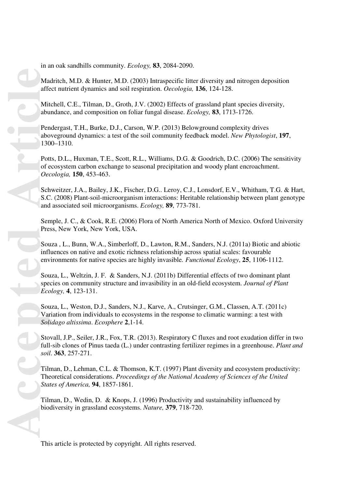Madritch, M.D. & Hunter, M.D. (2003) Intraspecific litter diversity and nitrogen deposition affect nutrient dynamics and soil respiration. *Oecologia,* **136**, 124-128.

Mitchell, C.E., Tilman, D., Groth, J.V. (2002) Effects of grassland plant species diversity, abundance, and composition on foliar fungal disease. *Ecology,* **83**, 1713-1726.

Pendergast, T.H., Burke, D.J., Carson, W.P. (2013) Belowground complexity drives aboveground dynamics: a test of the soil community feedback model. *New Phytologist*, **197**, 1300–1310.

Potts, D.L., Huxman, T.E., Scott, R.L., Williams, D.G. & Goodrich, D.C. (2006) The sensitivity of ecosystem carbon exchange to seasonal precipitation and woody plant encroachment. *Oecologia,* **150**, 453-463.

Schweitzer, J.A., Bailey, J.K., Fischer, D.G.. Leroy, C.J., Lonsdorf, E.V., Whitham, T.G. & Hart, S.C. (2008) Plant-soil-microorganism interactions: Heritable relationship between plant genotype and associated soil microorganisms. *Ecology,* **89**, 773-781.

Semple, J. C., & Cook, R.E. (2006) Flora of North America North of Mexico. Oxford University Press, New York, New York, USA.

Souza , L., Bunn, W.A., Simberloff, D., Lawton, R.M., Sanders, N.J. (2011a) Biotic and abiotic influences on native and exotic richness relationship across spatial scales: favourable environments for native species are highly invasible*. Functional Ecology*, **25**, 1106-1112.

Souza, L., Weltzin, J. F. & Sanders, N.J. (2011b) Differential effects of two dominant plant species on community structure and invasibility in an old-field ecosystem. *Journal of Plant Ecology,* **4**, 123-131.

Souza, L., Weston, D.J., Sanders, N.J., Karve, A., Crutsinger, G.M., Classen, A.T. (2011c) Variation from individuals to ecosystems in the response to climatic warming: a test with *Solidago altissima*. *Ecosphere* **2**,1-14.

Stovall, J.P., Seiler, J.R., Fox, T.R. (2013). Respiratory C fluxes and root exudation differ in two full-sib clones of Pinus taeda (L.) under contrasting fertilizer regimes in a greenhouse. *Plant and soil*. **363**, 257-271.

Tilman, D., Lehman, C.L. & Thomson, K.T. (1997) Plant diversity and ecosystem productivity: Theoretical considerations. *Proceedings of the National Academy of Sciences of the United States of America,* **94**, 1857-1861.

Tilman, D., Wedin, D. & Knops, J. (1996) Productivity and sustainability influenced by biodiversity in grassland ecosystems. *Nature,* **379**, 718-720.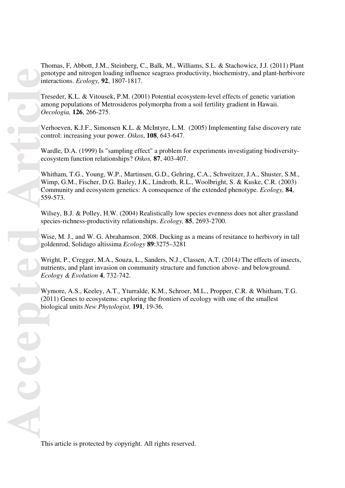Thomas, F, Abbott, J.M., Steinberg, C., Balk, M., Williams, S.L. & Stachowicz, J.J. (2011) Plant genotype and nitrogen loading influence seagrass productivity, biochemistry, and plant-herbivore interactions. *Ecology,* **92**, 1807-1817.

Treseder, K.L. & Vitousek, P.M. (2001) Potential ecosystem-level effects of genetic variation among populations of Metrosideros polymorpha from a soil fertility gradient in Hawaii. *Oecologia,* **126**, 266-275.

Verhoeven, K.J.F., Simonsen K.L. & McIntyre, L.M. (2005) Implementing false discovery rate control: increasing your power. *Oikos*, **108**, 643-647.

Wardle, D.A. (1999) Is "sampling effect" a problem for experiments investigating biodiversityecosystem function relationships? *Oikos,* **87**, 403-407.

Whitham, T.G., Young, W.P., Martinsen, G.D., Gehring, C.A., Schweitzer, J.A., Shuster, S.M., Wimp, G.M., Fischer, D.G. Bailey, J.K., Lindroth, R.L., Woolbright, S. & Kuske, C.R. (2003) Community and ecosystem genetics: A consequence of the extended phenotype. *Ecology,* **84**, 559-573.

Wilsey, B.J. & Polley, H.W. (2004) Realistically low species evenness does not alter grassland species-richness-productivity relationships. *Ecology,* **85**, 2693-2700.

Wise, M. J., and W. G. Abrahamson. 2008. Ducking as a means of resitance to herbivory in tall goldenrod, Solidago altissima *Ecology* **89**:3275–3281

Wright, P., Cregger, M.A., Souza, L., Sanders, N.J., Classen, A.T. (2014*)* The effects of insects, nutrients, and plant invasion on community structure and function above- and belowground. *Ecology & Evolution* **4**, 732-742.

Wymore, A.S., Keeley, A.T., Yturralde, K.M., Schroer, M.L., Propper, C.R. & Whitham, T.G. (2011) Genes to ecosystems: exploring the frontiers of ecology with one of the smallest biological units *New Phytologist,* **191**, 19-36.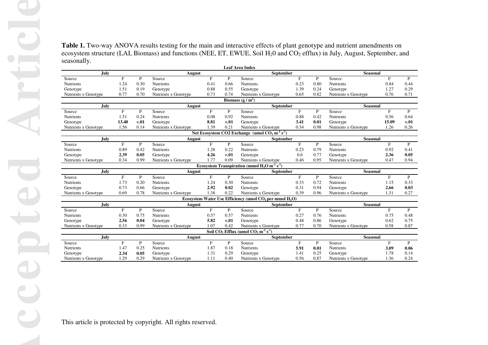|                                  | July        |                     |                | August                           |                                   |                | <b>Leaf Area Index</b><br>September                                                 |                     |                      | Seasonal                         |                      |
|----------------------------------|-------------|---------------------|----------------|----------------------------------|-----------------------------------|----------------|-------------------------------------------------------------------------------------|---------------------|----------------------|----------------------------------|----------------------|
| Source<br>Nutrients              |             | $_{\rm F}$<br>1.24  | P<br>0.30      | Source<br>Nutrients              | $\boldsymbol{\mathrm{F}}$<br>0.41 | P<br>0.66      | Source<br>Nutrients                                                                 | $_{\rm F}$<br>0.23  | $\mathbf{P}$<br>0.80 | Source<br>Nutrients              | $\mathbf{F}$<br>0.84 |
| Genotype                         |             | 1.51                | 0.19           | Genotype                         | 0.88                              | 0.55           | Genotype                                                                            | 1.39                | 0.24                 | Genotype                         | 1.27                 |
| Nutrients x Genotype             |             | 0.77                | 0.70           | Nutrients x Genotype             | 0.73                              | 0.74           | Nutrients x Genotype<br>Biomass $(g/m^2)$                                           | 0.65                | 0.82                 | Nutrients x Genotype             | 0.76                 |
|                                  | July        |                     |                | August                           |                                   |                | <b>September</b>                                                                    |                     |                      | <b>Seasonal</b>                  |                      |
| Source                           |             | $\mathbf{F}$        | P              | Source                           | $\mathbf{F}$                      | P              | Source                                                                              | $_{\rm F}$          | $\, {\bf P}$         | Source                           | $\mathbf{F}$         |
| Nutrients<br>Genotype            |             | 1.51<br>13.40       | 0.24<br>$-.01$ | <b>Nutrients</b><br>Genotype     | 0.08<br>8.81                      | 0.92<br>$-.01$ | <b>Nutrients</b><br>Genotype                                                        | 0.88<br>3.41        | 0.42<br>0.01         | Nutrients<br>Genotype            | 0.56<br>15.09        |
| Nutrients x Genotype             |             | 1.56                | 0.14           | Nutrients x Genotype             | 1.39                              | 0.21           | Nutrients x Genotype                                                                | 0.34                | 0.98                 | Nutrients x Genotype             | 1.26                 |
|                                  |             |                     |                |                                  |                                   |                | Net Ecosystem CO2 Exchange (umol CO <sub>2</sub> m <sup>-2</sup> s <sup>-1</sup> )  |                     |                      |                                  |                      |
|                                  | <b>July</b> |                     |                | August                           |                                   |                | September                                                                           |                     |                      | Seasonal                         |                      |
| Source<br>Nutrients              |             | $\mathbf F$<br>0.89 | P<br>0.42      | Source<br>Nutrients              | $\boldsymbol{\mathrm{F}}$<br>1.28 | P<br>0.22      | Source<br>Nutrients                                                                 | $\mathbf F$<br>0.23 | P<br>0.79            | Source<br>Nutrients              | $\, {\bf F}$<br>0.92 |
| Genotype                         |             | 2.39                | 0.05           | Genotype                         | 4.26                              | $-.01$         | Genotype                                                                            | 0.6                 | 0.77                 | Genotype                         | 2.36                 |
| Nutrients x Genotype             |             | 0.34                | 0.99           | Nutrients x Genotype             | 1.77                              | 0.09           | Nutrients x Genotype                                                                | 0.46                | 0.95                 | Nutrients x Genotype             | 0.47                 |
|                                  |             |                     |                |                                  |                                   |                | Ecosystem Transpiration (mmol $H_2O$ m <sup>-2</sup> s <sup>-1</sup> )              |                     |                      |                                  |                      |
|                                  | July        | $_{\rm F}$          | P              | August                           | $\boldsymbol{\mathrm{F}}$         | P              | September                                                                           | $_{\rm F}$          |                      | Seasonal                         | $\mathbf{F}$         |
| Source<br>Nutrients              |             | 1.73                | 0.20           | Source<br>Nutrients              | 1.24                              | 0.30           | Source<br>Nutrients                                                                 | 0.33                | $\mathbf{P}$<br>0.72 | Source<br>Nutrients              | 1.15                 |
| Genotype                         |             | 0.73                | 0.66           | Genotype                         | 2.92                              | 0.02           | Genotype                                                                            | 0.31                | 0.94                 | Genotype                         | 2.66                 |
| Nutrients x Genotype             |             | 0.69                | 0.78           | Nutrients x Genotype             | 1.38                              | 0.22           | Nutrients x Genotype                                                                | 0.39                | 0.96                 | Nutrients x Genotype             | 1.31                 |
|                                  |             |                     |                |                                  |                                   |                | Ecosystem Water Use Efficiency (umol $CO2$ per mmol $H2O$ )                         |                     |                      |                                  |                      |
| Source                           | July        | $_{\rm F}$          | P              | <b>August</b><br>Source          | $\mathbf F$                       | P              | September<br>Source                                                                 | $_{\rm F}$          | $\mathbf{P}$         | Seasonal<br>Source               | $_{\rm F}$           |
| Nutrients                        |             | 0.30                | 0.75           | Nutrients                        | 0.57                              | 0.57           | Nutrients                                                                           | 0.27                | 0.76                 | Nutrients                        | 0.75                 |
|                                  |             | 2.56                | 0.04           | Genotype                         | 5.82                              | $-.01$         | Genotype                                                                            | 0.48                | 0.86                 | Genotype                         | 0.62                 |
|                                  |             |                     |                | Nutrients x Genotype             | 1.07                              | 0.42           | Nutrients x Genotype                                                                | 0.77                | 0.70                 | Nutrients x Genotype             | 0.58                 |
|                                  |             | 0.33                | 0.99           |                                  |                                   |                |                                                                                     |                     |                      |                                  |                      |
| Genotype<br>Nutrients x Genotype |             |                     |                |                                  |                                   |                | Soil CO <sub>2</sub> Efflux (umol CO <sub>2</sub> m <sup>-2</sup> s <sup>-1</sup> ) |                     |                      |                                  |                      |
| Source                           | July        | $\mathbf{F}$        | P              | <b>August</b><br>Source          | $\boldsymbol{\mathrm{F}}$         | $\mathbf{P}$   | September<br>Source                                                                 | $_{\rm F}$          | $\mathbf{P}$         | Seasonal<br>Source               | $\mathbf{F}$         |
| <b>Nutrients</b>                 |             | 1.47                | 0.25           | Nutrients                        | 1.87                              | 0.18           | Nutrients                                                                           | 5.91                | 0.01                 | Nutrients                        | 3.09                 |
| Genotype<br>Nutrients x Genotype |             | 2.34<br>1.29        | 0.05<br>0.29   | Genotype<br>Nutrients x Genotype | 1.31<br>1.11                      | 0.29<br>0.40   | Genotype<br>Nutrients x Genotype                                                    | 1.41<br>0.56        | 0.25<br>0.87         | Genotype<br>Nutrients x Genotype | 1.78<br>1.36         |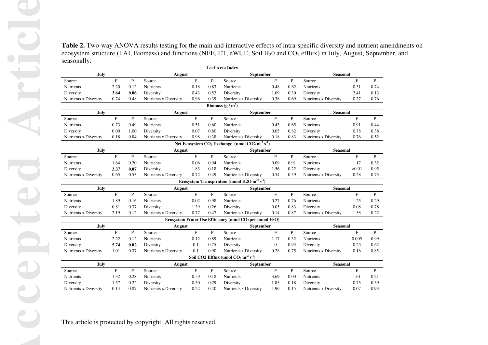|                                    |              |              |                                    |                      |                  | <b>Leaf Area Index</b>                                                          |                           |              |                                    |                      |                      |
|------------------------------------|--------------|--------------|------------------------------------|----------------------|------------------|---------------------------------------------------------------------------------|---------------------------|--------------|------------------------------------|----------------------|----------------------|
| July                               |              |              | August                             |                      |                  | September                                                                       |                           |              | Seasonal                           |                      |                      |
| Source<br>Nutrients                | $\mathbf{F}$ | P<br>0.12    | Source                             | $\mathbf{F}$<br>0.18 | P<br>0.83        | Source                                                                          | $\mathbf F$               | P<br>0.62    | Source                             | $\mathbf{F}$<br>0.31 | P<br>0.74            |
| Diversity                          | 2.20<br>3.64 | 0.06         | Nutrients<br>Diversity             | 0.43                 | 0.52             | Nutrients<br>Diversity                                                          | 0.48<br>1.09              | 0.30         | Nutrients<br>Diversity             | 2.41                 | 0.13                 |
| Nutrients x Diversity              | 0.74         | 0.48         | Nutrients x Diversity              | 0.96                 | 0.39             | Nutrients x Diversity                                                           | 0.38                      | 0.69         | Nutrients x Diversity              | 0.27                 | 0.76                 |
|                                    |              |              |                                    |                      |                  | Biomass $(g/m^2)$                                                               |                           |              |                                    |                      |                      |
| July                               |              |              | August                             |                      | <b>September</b> |                                                                                 |                           | Seasonal     |                                    |                      |                      |
| Source                             | $\mathbf{F}$ | P            | Source                             | $\mathbf F$          | P                | Source                                                                          | $\mathbf F$               | P            | Source                             | $\mathbf{F}$         | $\mathbf{P}$         |
| Nutrients                          | 0.73         | 0.49         | Nutrients                          | 0.51                 | 0.60             | Nutrients                                                                       | 0.43                      | 0.65         | Nutrients                          | 0.91                 | 0.44                 |
| Diversity                          | 0.00         | 1.00         | Diversity                          | 0.07                 | 0.80             | Diversity                                                                       | 0.05                      | 0.82         | Diversity                          | 0.78                 | 0.38                 |
| Nutrients x Diversity              | 0.18         | 0.84         | Nutrients x Diversity              | 0.98                 | 0.38             | Nutrients x Diversity                                                           | 0.18                      | 0.83         | Nutrients x Diversity              | 0.76                 | 0.52                 |
|                                    |              |              |                                    |                      |                  | Net Ecosystem $CO_2$ Exchange (umol $CO2 \text{ m}^2 \text{ s}^1$ )             |                           |              |                                    |                      |                      |
| July<br>Source                     | $\mathbf{F}$ | P            | <b>August</b><br>Source            | $\mathbf{F}$         | P                | September<br>Source                                                             | $\mathbf F$               | P            | Seasonal<br>Source                 | $_{\rm F}$           | P                    |
| <b>Nutrients</b>                   | 1.64         | 0.20         | <b>Nutrients</b>                   | 0.06                 | 0.94             | Nutrients                                                                       | 0.09                      | 0.91         | Nutrients                          | 1.17                 | 0.32                 |
| Diversity                          | 3.37         | 0.07         | Diversity                          | 1.83                 | 0.18             | Diversity                                                                       | 1.56                      | 0.22         | Diversity                          | < 0.01               | 0.95                 |
| Nutrients x Diversity              | 0.65         | 0.53         | Nutrients x Diversity              | 0.72                 | 0.49             | Nutrients x Diversity                                                           | 0.54                      | 0.59         | Nutrients x Diversity              | 0.28                 | 0.75                 |
|                                    |              |              |                                    |                      |                  | Ecosystem Transpiration (mmol H2O m <sup>-2</sup> s <sup>-1</sup> )             |                           |              |                                    |                      |                      |
| July                               |              |              | August                             |                      |                  | September                                                                       |                           |              | Seasonal                           |                      |                      |
| Source                             | $\mathbf{F}$ | ${\bf P}$    | Source                             | $\mathbf{F}$         | $\mathbf{P}$     | Source                                                                          | $\mathbf F$               | $\mathbf{P}$ | Source                             | F                    | P                    |
| Nutrients                          | 1.89<br>0.81 | 0.16         | Nutrients                          | 0.02<br>1.29         | 0.98             | Nutrients                                                                       | 0.27<br>0.05              | 0.76<br>0.83 | Nutrients                          | 1.25<br>0.08         | 0.29                 |
| Diversity<br>Nutrients x Diversity | 2.19         | 0.37<br>0.12 | Diversity<br>Nutrients x Diversity | 0.77                 | 0.26<br>0.47     | Diversity<br>Nutrients x Diversity                                              | 0.14                      | 0.87         | Diversity<br>Nutrients x Diversity | 1.58                 | 0.78<br>0.22         |
|                                    |              |              |                                    |                      |                  | Ecosystem Water Use Efficiency (umol CO <sub>2</sub> per mmol H <sub>2</sub> O) |                           |              |                                    |                      |                      |
|                                    |              |              |                                    | August               |                  | <b>September</b>                                                                |                           |              | Seasonal                           |                      |                      |
|                                    |              |              |                                    |                      |                  |                                                                                 | $\mathbf{F}$              | P            | Source                             | $\mathbf{F}$         | P                    |
| July<br>Source                     | F            | P            | Source                             | $\mathbf{F}$         | P                | Source                                                                          |                           |              |                                    |                      |                      |
| Nutrients                          | 2.22         | 0.12         | Nutrients                          | 0.12                 | 0.89             | Nutrients                                                                       | 1.17                      | 0.32         | Nutrients                          | 0.005                |                      |
| Diversity                          | 5.74         | 0.02         | Diversity                          | 0.1                  | 0.75             | Diversity                                                                       | $\boldsymbol{0}$          | 0.95         | Diversity                          | 0.25                 |                      |
| Nutrients x Diversity              | 1.01         | 0.37         | Nutrients x Diversity              | 0.1                  | 0.90             | Nutrients x Diversity                                                           | 0.28                      | 0.75         | Nutrients x Diversity              | 0.16                 |                      |
|                                    |              |              |                                    |                      |                  | Soil CO2 Efflux (umol CO <sub>2</sub> m <sup>-2</sup> s <sup>-1</sup> )         |                           |              |                                    |                      | 0.99<br>0.62<br>0.85 |
| July                               |              |              | August                             |                      |                  | <b>September</b>                                                                |                           |              | Seasonal                           |                      |                      |
| Source                             | $\mathbf{F}$ | P            | Source                             | $\mathbf{F}$         | P                | Source                                                                          | $\boldsymbol{\mathrm{F}}$ | P            | Source                             | $\mathbf{F}$         | $\mathbf{P}$         |
| Nutrients                          | 1.32         | 0.28         | Nutrients                          | 0.59                 | 0.18             | Nutrients                                                                       | 3.69                      | 0.03         | Nutrients                          | 1.61                 |                      |
| Diversity<br>Nutrients x Diversity | 1.57<br>0.14 | 0.22<br>0.87 | Diversity<br>Nutrients x Diversity | 0.30<br>0.22         | 0.29<br>0.40     | Diversity<br>Nutrients x Diversity                                              | 1.85<br>1.96              | 0.18<br>0.15 | Diversity<br>Nutrients x Diversity | 0.75<br>0.07         | 0.21<br>0.39<br>0.93 |